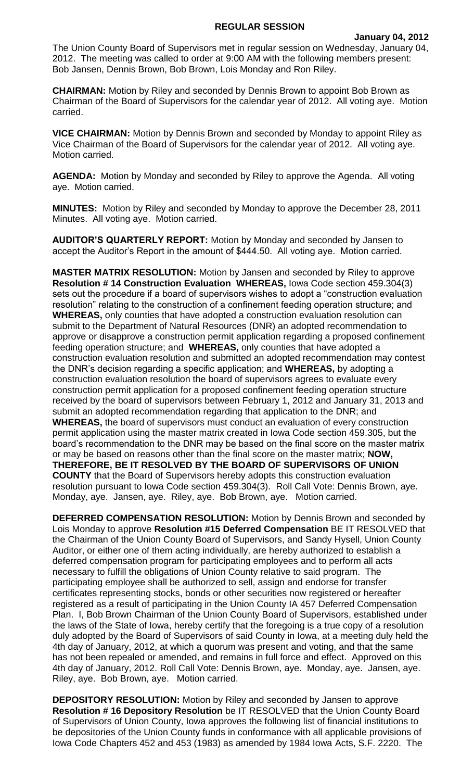## **REGULAR SESSION**

The Union County Board of Supervisors met in regular session on Wednesday, January 04, 2012. The meeting was called to order at 9:00 AM with the following members present: Bob Jansen, Dennis Brown, Bob Brown, Lois Monday and Ron Riley.

**CHAIRMAN:** Motion by Riley and seconded by Dennis Brown to appoint Bob Brown as Chairman of the Board of Supervisors for the calendar year of 2012. All voting aye. Motion carried.

**VICE CHAIRMAN:** Motion by Dennis Brown and seconded by Monday to appoint Riley as Vice Chairman of the Board of Supervisors for the calendar year of 2012. All voting aye. Motion carried.

**AGENDA:** Motion by Monday and seconded by Riley to approve the Agenda. All voting aye. Motion carried.

**MINUTES:** Motion by Riley and seconded by Monday to approve the December 28, 2011 Minutes. All voting aye. Motion carried.

**AUDITOR'S QUARTERLY REPORT:** Motion by Monday and seconded by Jansen to accept the Auditor's Report in the amount of \$444.50. All voting aye. Motion carried.

**MASTER MATRIX RESOLUTION:** Motion by Jansen and seconded by Riley to approve **Resolution # 14 Construction Evaluation WHEREAS,** Iowa Code section 459.304(3) sets out the procedure if a board of supervisors wishes to adopt a "construction evaluation resolution" relating to the construction of a confinement feeding operation structure; and **WHEREAS,** only counties that have adopted a construction evaluation resolution can submit to the Department of Natural Resources (DNR) an adopted recommendation to approve or disapprove a construction permit application regarding a proposed confinement feeding operation structure; and **WHEREAS,** only counties that have adopted a construction evaluation resolution and submitted an adopted recommendation may contest the DNR's decision regarding a specific application; and **WHEREAS,** by adopting a construction evaluation resolution the board of supervisors agrees to evaluate every construction permit application for a proposed confinement feeding operation structure received by the board of supervisors between February 1, 2012 and January 31, 2013 and submit an adopted recommendation regarding that application to the DNR; and **WHEREAS,** the board of supervisors must conduct an evaluation of every construction permit application using the master matrix created in Iowa Code section 459.305, but the board's recommendation to the DNR may be based on the final score on the master matrix or may be based on reasons other than the final score on the master matrix; **NOW, THEREFORE, BE IT RESOLVED BY THE BOARD OF SUPERVISORS OF UNION COUNTY** that the Board of Supervisors hereby adopts this construction evaluation resolution pursuant to Iowa Code section 459.304(3). Roll Call Vote: Dennis Brown, aye. Monday, aye. Jansen, aye. Riley, aye. Bob Brown, aye. Motion carried.

**DEFERRED COMPENSATION RESOLUTION:** Motion by Dennis Brown and seconded by Lois Monday to approve **Resolution #15 Deferred Compensation** BE IT RESOLVED that the Chairman of the Union County Board of Supervisors, and Sandy Hysell, Union County Auditor, or either one of them acting individually, are hereby authorized to establish a deferred compensation program for participating employees and to perform all acts necessary to fulfill the obligations of Union County relative to said program. The participating employee shall be authorized to sell, assign and endorse for transfer certificates representing stocks, bonds or other securities now registered or hereafter registered as a result of participating in the Union County IA 457 Deferred Compensation Plan. I, Bob Brown Chairman of the Union County Board of Supervisors, established under the laws of the State of Iowa, hereby certify that the foregoing is a true copy of a resolution duly adopted by the Board of Supervisors of said County in Iowa, at a meeting duly held the 4th day of January, 2012, at which a quorum was present and voting, and that the same has not been repealed or amended, and remains in full force and effect. Approved on this 4th day of January, 2012. Roll Call Vote: Dennis Brown, aye. Monday, aye. Jansen, aye. Riley, aye. Bob Brown, aye. Motion carried.

**DEPOSITORY RESOLUTION:** Motion by Riley and seconded by Jansen to approve **Resolution # 16 Depository Resolution** be IT RESOLVED that the Union County Board of Supervisors of Union County, Iowa approves the following list of financial institutions to be depositories of the Union County funds in conformance with all applicable provisions of Iowa Code Chapters 452 and 453 (1983) as amended by 1984 Iowa Acts, S.F. 2220. The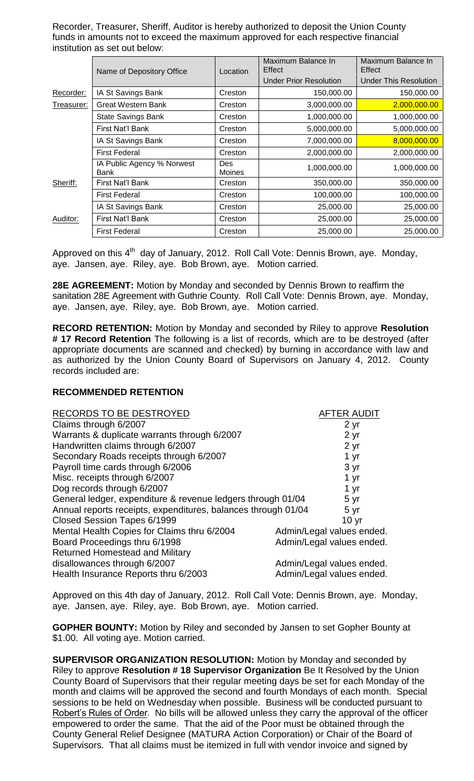Recorder, Treasurer, Sheriff, Auditor is hereby authorized to deposit the Union County funds in amounts not to exceed the maximum approved for each respective financial institution as set out below:

|            | Name of Depository Office          | Location                    | Maximum Balance In<br>Effect | Maximum Balance In<br>Effect |
|------------|------------------------------------|-----------------------------|------------------------------|------------------------------|
|            |                                    |                             | Under Prior Resolution       | Under This Resolution        |
| Recorder:  | IA St Savings Bank                 | Creston                     | 150,000.00                   | 150,000.00                   |
| Treasurer: | Great Western Bank                 | Creston                     | 3,000,000.00                 | 2,000,000.00                 |
|            | <b>State Savings Bank</b>          | Creston                     | 1,000,000.00                 | 1,000,000.00                 |
|            | First Nat'l Bank                   | Creston                     | 5,000,000.00                 | 5,000,000.00                 |
|            | IA St Savings Bank                 | Creston                     | 7,000,000.00                 | 8,000,000.00                 |
|            | <b>First Federal</b>               | Creston                     | 2,000,000.00                 | 2,000,000.00                 |
|            | IA Public Agency % Norwest<br>Bank | <b>Des</b><br><b>Moines</b> | 1,000,000.00                 | 1,000,000.00                 |
| Sheriff:   | First Nat'l Bank                   | Creston                     | 350,000.00                   | 350,000.00                   |
|            | <b>First Federal</b>               | Creston                     | 100,000.00                   | 100,000.00                   |
| Auditor:   | IA St Savings Bank                 | Creston                     | 25,000.00                    | 25,000.00                    |
|            | First Nat'l Bank                   | Creston                     | 25,000.00                    | 25,000.00                    |
|            | <b>First Federal</b>               | Creston                     | 25,000.00                    | 25,000.00                    |

Approved on this 4<sup>th</sup> day of January, 2012. Roll Call Vote: Dennis Brown, aye. Monday, aye. Jansen, aye. Riley, aye. Bob Brown, aye. Motion carried.

**28E AGREEMENT:** Motion by Monday and seconded by Dennis Brown to reaffirm the sanitation 28E Agreement with Guthrie County. Roll Call Vote: Dennis Brown, aye. Monday, aye. Jansen, aye. Riley, aye. Bob Brown, aye. Motion carried.

**RECORD RETENTION:** Motion by Monday and seconded by Riley to approve **Resolution # 17 Record Retention** The following is a list of records, which are to be destroyed (after appropriate documents are scanned and checked) by burning in accordance with law and as authorized by the Union County Board of Supervisors on January 4, 2012. County records included are:

## **RECOMMENDED RETENTION**

| RECORDS TO BE DESTROYED                                       | <b>AFTER AUDIT</b>        |
|---------------------------------------------------------------|---------------------------|
| Claims through 6/2007                                         | 2 <sub>yr</sub>           |
| Warrants & duplicate warrants through 6/2007                  | 2 <sub>yr</sub>           |
| Handwritten claims through 6/2007                             | 2 <sub>yr</sub>           |
| Secondary Roads receipts through 6/2007                       | 1 yr                      |
| Payroll time cards through 6/2006                             | 3 yr                      |
| Misc. receipts through 6/2007                                 | 1 yr                      |
| Dog records through 6/2007                                    | 1 yr                      |
| General ledger, expenditure & revenue ledgers through 01/04   | 5 yr                      |
| Annual reports receipts, expenditures, balances through 01/04 | 5 yr                      |
| Closed Session Tapes 6/1999                                   | 10 <sub>yr</sub>          |
| Mental Health Copies for Claims thru 6/2004                   | Admin/Legal values ended. |
| Board Proceedings thru 6/1998                                 | Admin/Legal values ended. |
| <b>Returned Homestead and Military</b>                        |                           |
| disallowances through 6/2007                                  | Admin/Legal values ended. |
| Health Insurance Reports thru 6/2003                          | Admin/Legal values ended. |

Approved on this 4th day of January, 2012. Roll Call Vote: Dennis Brown, aye. Monday, aye. Jansen, aye. Riley, aye. Bob Brown, aye. Motion carried.

**GOPHER BOUNTY:** Motion by Riley and seconded by Jansen to set Gopher Bounty at \$1.00. All voting aye. Motion carried.

**SUPERVISOR ORGANIZATION RESOLUTION:** Motion by Monday and seconded by Riley to approve **Resolution # 18 Supervisor Organization** Be It Resolved by the Union County Board of Supervisors that their regular meeting days be set for each Monday of the month and claims will be approved the second and fourth Mondays of each month. Special sessions to be held on Wednesday when possible. Business will be conducted pursuant to Robert's Rules of Order. No bills will be allowed unless they carry the approval of the officer empowered to order the same. That the aid of the Poor must be obtained through the County General Relief Designee (MATURA Action Corporation) or Chair of the Board of Supervisors. That all claims must be itemized in full with vendor invoice and signed by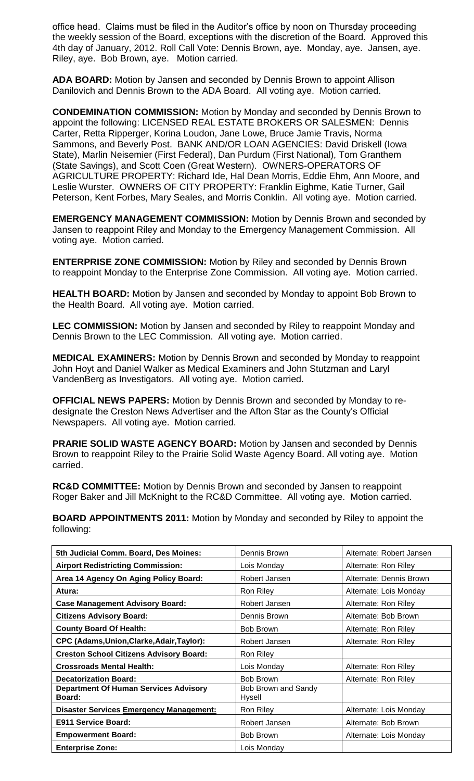office head. Claims must be filed in the Auditor's office by noon on Thursday proceeding the weekly session of the Board, exceptions with the discretion of the Board. Approved this 4th day of January, 2012. Roll Call Vote: Dennis Brown, aye. Monday, aye. Jansen, aye. Riley, aye. Bob Brown, aye. Motion carried.

**ADA BOARD:** Motion by Jansen and seconded by Dennis Brown to appoint Allison Danilovich and Dennis Brown to the ADA Board. All voting aye. Motion carried.

**CONDEMINATION COMMISSION:** Motion by Monday and seconded by Dennis Brown to appoint the following: LICENSED REAL ESTATE BROKERS OR SALESMEN: Dennis Carter, Retta Ripperger, Korina Loudon, Jane Lowe, Bruce Jamie Travis, Norma Sammons, and Beverly Post. BANK AND/OR LOAN AGENCIES: David Driskell (Iowa State), Marlin Neisemier (First Federal), Dan Purdum (First National), Tom Granthem (State Savings), and Scott Coen (Great Western). OWNERS-OPERATORS OF AGRICULTURE PROPERTY: Richard Ide, Hal Dean Morris, Eddie Ehm, Ann Moore, and Leslie Wurster. OWNERS OF CITY PROPERTY: Franklin Eighme, Katie Turner, Gail Peterson, Kent Forbes, Mary Seales, and Morris Conklin. All voting aye. Motion carried.

**EMERGENCY MANAGEMENT COMMISSION:** Motion by Dennis Brown and seconded by Jansen to reappoint Riley and Monday to the Emergency Management Commission. All voting aye. Motion carried.

**ENTERPRISE ZONE COMMISSION:** Motion by Riley and seconded by Dennis Brown to reappoint Monday to the Enterprise Zone Commission. All voting aye. Motion carried.

**HEALTH BOARD:** Motion by Jansen and seconded by Monday to appoint Bob Brown to the Health Board. All voting aye. Motion carried.

**LEC COMMISSION:** Motion by Jansen and seconded by Riley to reappoint Monday and Dennis Brown to the LEC Commission. All voting aye. Motion carried.

**MEDICAL EXAMINERS:** Motion by Dennis Brown and seconded by Monday to reappoint John Hoyt and Daniel Walker as Medical Examiners and John Stutzman and Laryl VandenBerg as Investigators. All voting aye. Motion carried.

**OFFICIAL NEWS PAPERS:** Motion by Dennis Brown and seconded by Monday to redesignate the Creston News Advertiser and the Afton Star as the County's Official Newspapers. All voting aye. Motion carried.

**PRARIE SOLID WASTE AGENCY BOARD:** Motion by Jansen and seconded by Dennis Brown to reappoint Riley to the Prairie Solid Waste Agency Board. All voting aye. Motion carried.

**RC&D COMMITTEE:** Motion by Dennis Brown and seconded by Jansen to reappoint Roger Baker and Jill McKnight to the RC&D Committee. All voting aye. Motion carried.

**BOARD APPOINTMENTS 2011:** Motion by Monday and seconded by Riley to appoint the following:

| 5th Judicial Comm. Board, Des Moines:                         | Dennis Brown                  | Alternate: Robert Jansen |
|---------------------------------------------------------------|-------------------------------|--------------------------|
| <b>Airport Redistricting Commission:</b>                      | Lois Monday                   | Alternate: Ron Riley     |
| Area 14 Agency On Aging Policy Board:                         | Robert Jansen                 | Alternate: Dennis Brown  |
| Atura:                                                        | Ron Riley                     | Alternate: Lois Monday   |
| <b>Case Management Advisory Board:</b>                        | Robert Jansen                 | Alternate: Ron Riley     |
| <b>Citizens Advisory Board:</b>                               | Dennis Brown                  | Alternate: Bob Brown     |
| <b>County Board Of Health:</b>                                | Bob Brown                     | Alternate: Ron Riley     |
| CPC (Adams, Union, Clarke, Adair, Taylor):                    | Robert Jansen                 | Alternate: Ron Riley     |
| <b>Creston School Citizens Advisory Board:</b>                | Ron Riley                     |                          |
| <b>Crossroads Mental Health:</b>                              | Lois Monday                   | Alternate: Ron Riley     |
| <b>Decatorization Board:</b>                                  | Bob Brown                     | Alternate: Ron Riley     |
| <b>Department Of Human Services Advisory</b><br><b>Board:</b> | Bob Brown and Sandy<br>Hysell |                          |
| <b>Disaster Services Emergency Management:</b>                | Ron Riley                     | Alternate: Lois Monday   |
| E911 Service Board:                                           | Robert Jansen                 | Alternate: Bob Brown     |
| <b>Empowerment Board:</b>                                     | Bob Brown                     | Alternate: Lois Monday   |
| <b>Enterprise Zone:</b>                                       | Lois Monday                   |                          |